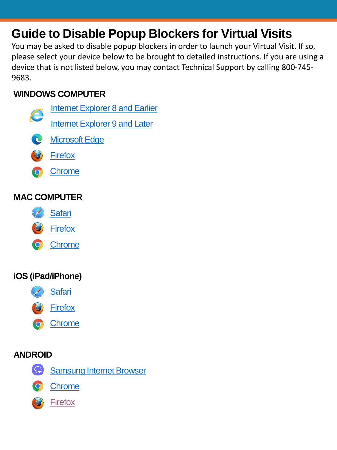# **Guide to Disable Popup Blockers for Virtual Visits**

You may be asked to disable popup blockers in order to launch your Virtual Visit. If so, please select your device below to be brought to detailed instructions. If you are using a device that is not listed below, you may contact Technical Support by calling 800-745- 9683.

# **WINDOWS COMPUTER**

- **[Internet Explorer 8 and Earlier](#page-1-0)** [Internet Explorer 9 and Later](#page-2-0)
- **C** [Microsoft Edge](#page-3-0)
- **[Firefox](#page-4-0)**
- **•** [Chrome](#page-5-0)

# **MAC COMPUTER**

- [Safari](#page-6-0)
- **[Firefox](#page-7-0)**
- **•** [Chrome](#page-8-0)

# **iOS (iPad/iPhone)**



**[Firefox](#page-10-0)** 

• [Chrome](#page-11-0)

## **ANDROID**



**[Chrome](#page-13-0)** 



**[Firefox](#page-14-0)**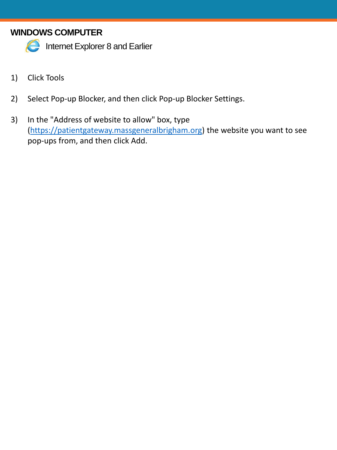# <span id="page-1-0"></span>**WINDOWS COMPUTER**



**C** Internet Explorer 8 and Earlier

- 1) Click Tools
- 2) Select Pop-up Blocker, and then click Pop-up Blocker Settings.
- 3) In the "Address of website to allow" box, type [\(https://patientgateway.massgeneralbrigham.org\)](https://patientgateway.massgeneralbrigham.org/) the website you want to see pop-ups from, and then click Add.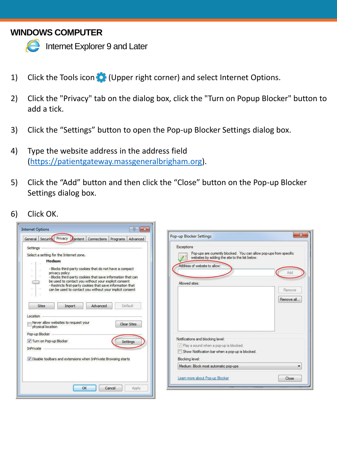## <span id="page-2-0"></span>**WINDOWS COMPUTER**



**Internet Explorer 9 and Later** 

- 1) Click the Tools icon (Upper right corner) and select Internet Options.
- 2) Click the "Privacy" tab on the dialog box, click the "Turn on Popup Blocker" button to add a tick.
- 3) Click the "Settings" button to open the Pop-up Blocker Settings dialog box.
- 4) Type the website address in the address field [\(https://patientgateway.massgeneralbrigham.org\)](https://patientgateway.massgeneralbrigham.org/).
- 5) Click the "Add" button and then click the "Close" button on the Pop-up Blocker Settings dialog box.
- 6) Click OK.

| $\mathcal{P}$<br>$\mathbf{x}$<br><b>Internet Options</b><br>Privacy Content Connections Programs Advanced<br>General Security                                                                                                                                                                                                                                                                                | $\mathbf{x}$<br>Pop-up Blocker Settings                                                                                                                                                        |
|--------------------------------------------------------------------------------------------------------------------------------------------------------------------------------------------------------------------------------------------------------------------------------------------------------------------------------------------------------------------------------------------------------------|------------------------------------------------------------------------------------------------------------------------------------------------------------------------------------------------|
| Settings<br>Select a setting for the Internet zone.<br><b>Medium</b><br>- Blocks third-party cookies that do not have a compact<br>privacy policy<br>₽<br>a<br>- Blocks third-party cookies that save information that can<br>be used to contact you without your explicit consent<br>- Restricts first-party cookies that save information that<br>can be used to contact you without your implicit consent | Exceptions<br>Pop-ups are currently blocked. You can allow pop-ups from specific<br>websites by adding the site to the list below.<br>Address of website to allow:<br>Allowed sites:<br>Remove |
| Advanced<br>Default<br><b>Sites</b><br>Import<br>Location<br>Never allow websites to request your<br>Clear Sites<br>physical location                                                                                                                                                                                                                                                                        | Remove all                                                                                                                                                                                     |
| Pop-up Blocker<br>Turn on Pop-up Blocker<br>Settings<br>InPrivate<br>Disable toolbars and extensions when InPrivate Browsing starts                                                                                                                                                                                                                                                                          | Notifications and blocking level:<br>Play a sound when a pop-up is blocked.<br>Show Notification bar when a pop-up is blocked.<br>Blocking level:                                              |
|                                                                                                                                                                                                                                                                                                                                                                                                              | Medium: Block most automatic pop-ups<br>۰<br>Learn more about Pop-up Blocker<br>Close                                                                                                          |
| OK<br>Cancel<br>Apply                                                                                                                                                                                                                                                                                                                                                                                        |                                                                                                                                                                                                |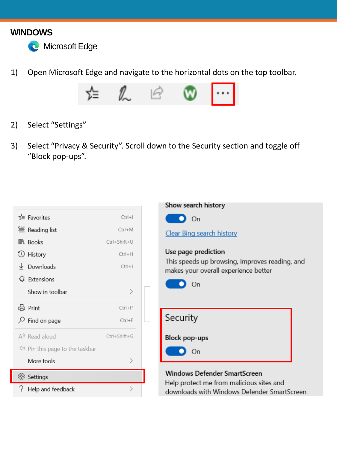#### <span id="page-3-0"></span>**WINDOWS**



1) Open Microsoft Edge and navigate to the horizontal dots on the top toolbar.



- 2) Select "Settings"
- 3) Select "Privacy & Security". Scroll down to the Security section and toggle off "Block pop-ups".





**Windows Defender SmartScreen** 

Help protect me from malicious sites and downloads with Windows Defender SmartScreen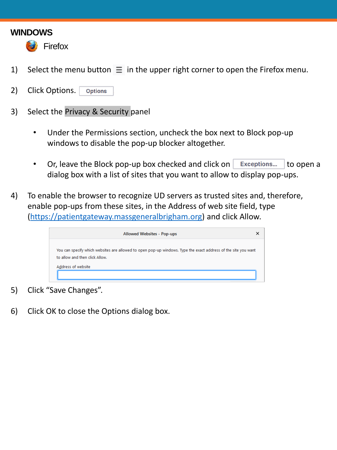#### <span id="page-4-0"></span>**WINDOWS**



- 1) Select the menu button  $\equiv$  in the upper right corner to open the Firefox menu.
- 2) Click Options. **Options**
- 3) Select the Privacy & Security panel
	- Under the Permissions section, uncheck the box next to Block pop-up windows to disable the pop-up blocker altogether.
	- Or, leave the Block pop-up box checked and click on  $\vert$  Exceptions...  $\vert$  to open a dialog box with a list of sites that you want to allow to display pop-ups.
- 4) To enable the browser to recognize UD servers as trusted sites and, therefore, enable pop-ups from these sites, in the Address of web site field, type [\(https://patientgateway.massgeneralbrigham.org\)](https://patientgateway.massgeneralbrigham.org/) and click Allow.

| <b>Allowed Websites - Pop-ups</b>                                                                                                                |  |
|--------------------------------------------------------------------------------------------------------------------------------------------------|--|
| You can specify which websites are allowed to open pop-up windows. Type the exact address of the site you want<br>to allow and then click Allow. |  |
| Address of website                                                                                                                               |  |

- 5) Click "Save Changes".
- 6) Click OK to close the Options dialog box.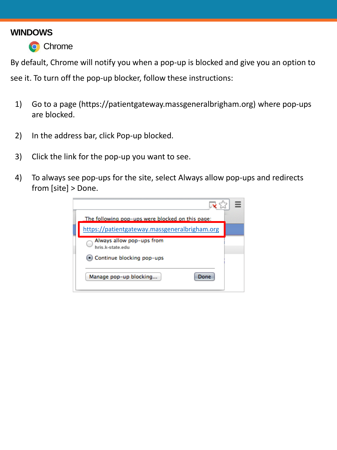#### <span id="page-5-0"></span>**WINDOWS**



By default, Chrome will notify you when a pop-up is blocked and give you an option to see it. To turn off the pop-up blocker, follow these instructions:

- 1) Go to a page (https://patientgateway.massgeneralbrigham.org) where pop-ups are blocked.
- 2) In the address bar, click Pop-up blocked.
- 3) Click the link for the pop-up you want to see.
- 4) To always see pop-ups for the site, select Always allow pop-ups and redirects from [site] > Done.

| The following pop-ups were blocked on this page: |  |
|--------------------------------------------------|--|
| https://patientgateway.massgeneralbrigham.org    |  |
| Always allow pop-ups from<br>hris k-state edu    |  |
| • Continue blocking pop-ups                      |  |
| Manage pop-up blocking<br>Done                   |  |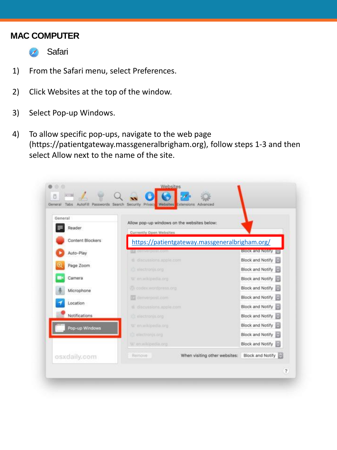#### <span id="page-6-0"></span>**MAC COMPUTER**

- **B** Safari
- 1) From the Safari menu, select Preferences.
- 2) Click Websites at the top of the window.
- 3) Select Pop-up Windows.
- 4) To allow specific pop-ups, navigate to the web page (https://patientgateway.massgeneralbrigham.org), follow steps 1-3 and then select Allow next to the name of the site.

| General          | Allow pop-up windows on the websites below:    |                         |  |
|------------------|------------------------------------------------|-------------------------|--|
| Reader           | Currently Open Websites                        |                         |  |
| Content Blockers | https://patientgateway.massgeneralbrigham.org/ |                         |  |
| Auto-Play        | Le denverpost.com                              | <b>Block and Notify</b> |  |
|                  | discussions.apple.com                          | Block and Notify        |  |
| Page Zoom        | <b>RE</b> electronis.org                       | <b>Block and Notify</b> |  |
| Camera           | W en.wikipedia.org                             | Block and Notify        |  |
| Microphone       | W codex.wordpress.org                          | Block and Notify        |  |
|                  | La denverpost.com                              | Block and Notify        |  |
| Location         | discussions.apple.com                          | Block and Notify        |  |
| Notifications    | <b>R</b> electronis.org                        | Block and Notify        |  |
| Pop-up Windows   | W en.wikipedia.org                             | Block and Notify        |  |
|                  | electronis.org                                 | Block and Notify        |  |
|                  | W en.wikipedia.org                             | Block and Notify        |  |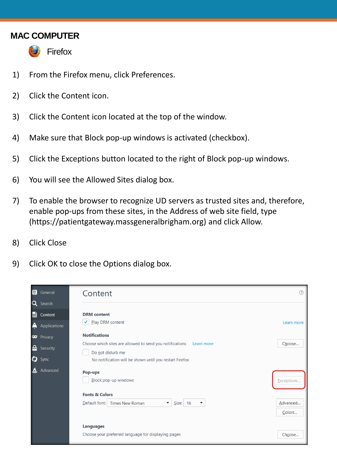#### <span id="page-7-0"></span>**MAC COMPUTER**



**Firefox** 

- 1) From the Firefox menu, click Preferences.
- 2) Click the Content icon.
- 3) Click the Content icon located at the top of the window.
- 4) Make sure that Block pop-up windows is activated (checkbox).
- 5) Click the Exceptions button located to the right of Block pop-up windows.
- 6) You will see the Allowed Sites dialog box.
- 7) To enable the browser to recognize UD servers as trusted sites and, therefore, enable pop-ups from these sites, in the Address of web site field, type (https://patientgateway.massgeneralbrigham.org) and click Allow.
- 8) Click Close
- 9) Click OK to close the Options dialog box.

|   | <b>in</b> General   | Content                                                                                             |                    |
|---|---------------------|-----------------------------------------------------------------------------------------------------|--------------------|
|   | Q Search            |                                                                                                     |                    |
|   | Content             | <b>DRM</b> content                                                                                  |                    |
| A | Applications        | $\checkmark$<br>Play DRM content                                                                    | Learn more         |
|   | <b>CO</b> Privacy   | <b>Notifications</b>                                                                                |                    |
|   | <b>R</b> e Security | Choose which sites are allowed to send you notifications Learn more<br>Do not disturb me            | Choose             |
|   | $\bullet$ Sync      | No notification will be shown until you restart Firefox                                             |                    |
|   | Advanced            | Pop-ups<br>Block pop-up windows                                                                     | Exceptions         |
|   |                     | <b>Fonts &amp; Colors</b>                                                                           |                    |
|   |                     | $\blacktriangledown$<br>Default font:<br><b>Times New Roman</b><br>Size: 16<br>$\blacktriangledown$ | Advanced<br>Colors |
|   |                     | <b>Languages</b>                                                                                    |                    |
|   |                     | Choose your preferred language for displaying pages                                                 | Choose             |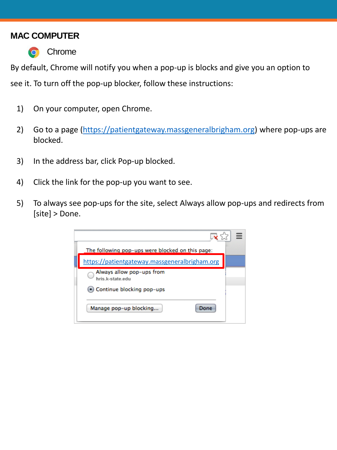#### <span id="page-8-0"></span>**MAC COMPUTER**



By default, Chrome will notify you when a pop-up is blocks and give you an option to see it. To turn off the pop-up blocker, follow these instructions:

- 1) On your computer, open Chrome.
- 2) Go to a page ([https://patientgateway.massgeneralbrigham.org](https://patientgateway.massgeneralbrigham.org/)) where pop-ups are blocked.
- 3) In the address bar, click Pop-up blocked.
- 4) Click the link for the pop-up you want to see.
- 5) To always see pop-ups for the site, select Always allow pop-ups and redirects from [site] > Done.

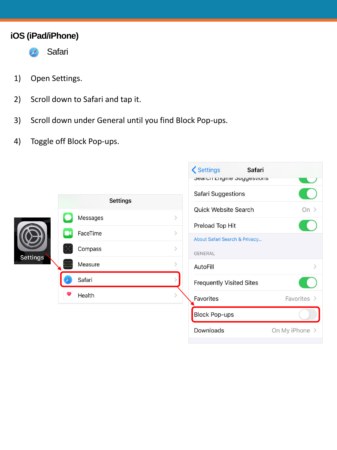## <span id="page-9-0"></span>**iOS (iPad/iPhone)**



- 1) Open Settings.
- 2) Scroll down to Safari and tap it.
- 3) Scroll down under General until you find Block Pop-ups.
- 4) Toggle off Block Pop-ups.



| <b>くSettings</b><br>Safari<br><b>SCAILII EIIYIIIC SUYYESUUIIS</b> |                |
|-------------------------------------------------------------------|----------------|
| Safari Suggestions                                                |                |
| Quick Website Search                                              | Ωn             |
| Preload Top Hit                                                   |                |
| About Safari Search & Privacy                                     |                |
| <b>GENERAL</b>                                                    |                |
| AutoFill                                                          |                |
| <b>Frequently Visited Sites</b>                                   |                |
| Favorites                                                         | Favorites >    |
| <b>Block Pop-ups</b>                                              |                |
| Downloads                                                         | On My iPhone > |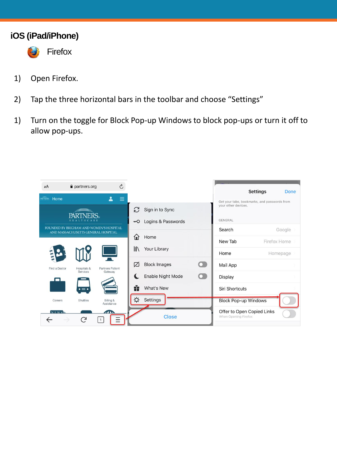#### <span id="page-10-0"></span>**iOS (iPad/iPhone)**



**Firefox** 

- 1) Open Firefox.
- 2) Tap the three horizontal bars in the toolbar and choose "Settings"
- 1) Turn on the toggle for Block Pop-up Windows to block pop-ups or turn it off to allow pop-ups.

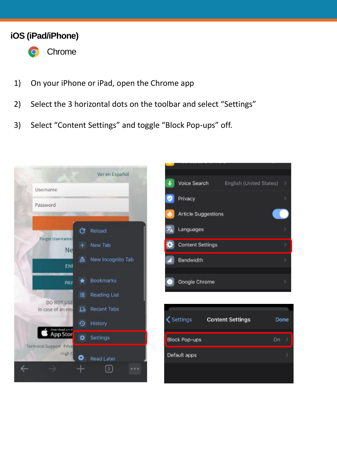#### <span id="page-11-0"></span>**iOS (iPad/iPhone)**



• Chrome

- 1) On your iPhone or iPad, open the Chrome app
- 2) Select the 3 horizontal dots on the toolbar and select "Settings"
- 3) Select "Content Settings" and toggle "Block Pop-ups" off.

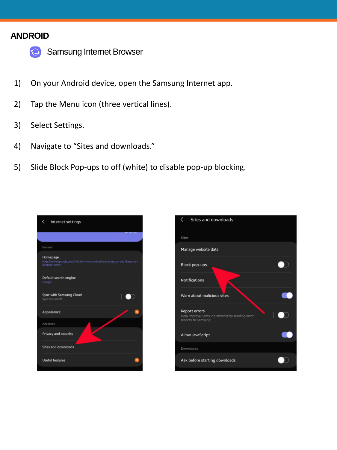## <span id="page-12-0"></span>**ANDROID**



• Samsung Internet Browser

- 1) On your Android device, open the Samsung Internet app.
- 2) Tap the Menu icon (three vertical lines).
- 3) Select Settings.
- 4) Navigate to "Sites and downloads."
- 5) Slide Block Pop-ups to off (white) to disable pop-up blocking.



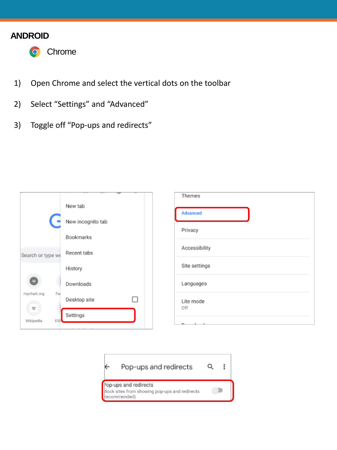## <span id="page-13-0"></span>**ANDROID**



- 1) Open Chrome and select the vertical dots on the toolbar
- 2) Select "Settings" and "Advanced"
- 3) Toggle off "Pop-ups and redirects"



| Themes           |  |
|------------------|--|
| Advanced         |  |
| Privacy          |  |
| Accessibility    |  |
| Site settings    |  |
| Languages        |  |
| Lite mode<br>Off |  |
| ______           |  |